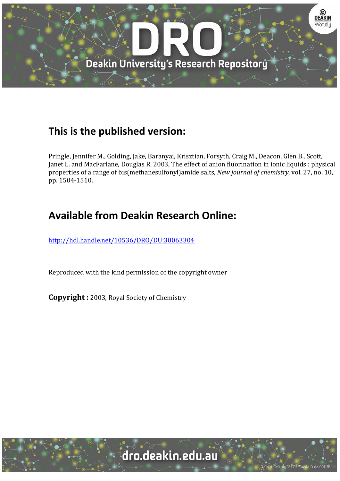

# **This is the published version:**

Pringle, Jennifer M., Golding, Jake, Baranyai, Krisztian, Forsyth, Craig M., Deacon, Glen B., Scott, Janet L. and MacFarlane, Douglas R. 2003, The effect of anion fluorination in ionic liquids : physical properties of a range of bis(methanesulfonyl)amide salts*, New journal of chemistry*, vol. 27, no. 10, pp. 1504‐1510. 

# **Available from Deakin Research Online:**

http://hdl.handle.net/10536/DRO/DU:30063304

Reproduced with the kind permission of the copyright owner

**Copyright** : 2003, Royal Society of Chemistry



University CRICOS Provider Code: 00113E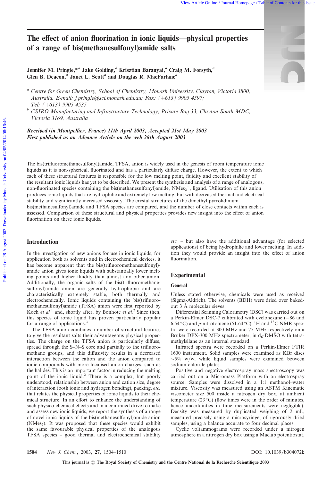# The effect of anion fluorination in ionic liquids—physical properties of a range of bis(methanesulfonyl)amide salts

# Jennifer M. Pringle,\*<sup>a</sup> Jake Golding,<sup>b</sup> Krisztian Baranyai,<sup>a</sup> Craig M. Forsyth,<sup>a</sup> Glen B. Deacon,<sup> $a$ </sup> Janet L. Scott<sup> $a$ </sup> and Douglas R. MacFarlane<sup> $a$ </sup>

- <sup>a</sup> Centre for Green Chemistry, School of Chemistry, Monash University, Clayton, Victoria 3800, Australia. E-mail: j.pringle@sci.monash.edu.au; Fax: (+613) 9905 4597; Tel: (+613) 9905 4535
- $b$  CSIRO Manufacturing and Infrastructure Technology, Private Bag 33, Clayton South MDC, Victoria 3169, Australia

Received (in Montpellier, France) 11th April 2003, Accepted 21st May 2003 First published as an Advance Article on the web 28th August 2003

The bis(trifluoromethanesulfonyl)amide, TFSA, anion is widely used in the genesis of room temperature ionic liquids as it is non-spherical, fluorinated and has a particularly diffuse charge. However, the extent to which each of these structural features is responsible for the low melting point, fluidity and excellent stability of the resultant ionic liquids has yet to be described. We present the synthesis and analysis of a range of analogous, non-fluorinated species containing the bis(methanesulfonyl)amide, NMes<sub>2</sub><sup>-</sup>, ligand. Utilisation of this anion produces ionic liquids that are hydrophilic and extremely low melting, but with decreased thermal and electrical stability and significantly increased viscosity. The crystal structures of the dimethyl pyrrolidinium bis(methanesulfonyl)amide and TFSA species are compared, and the number of close contacts within each is assessed. Comparison of these structural and physical properties provides new insight into the effect of anion fluorination on these ionic liquids. Example of 28 August 2003. The effect of anion fluorination in ionic liquids—physical properties<br>
of a range of bis(methanesulfonyl)amide salts<br>
Jennife M. Pringle <sup>28</sup> Also Godina, <sup>2</sup> Conje M. Foreyth, <sup>2</sup> Conje M. Fore

### Introduction

In the investigation of new anions for use in ionic liquids, for application both as solvents and in electrochemical devices, it has become apparent that the bis(trifluoromethanesulfonyl) amide anion gives ionic liquids with substantially lower melting points and higher fluidity than almost any other anion. Additionally, the organic salts of the bis(trifluoromethanesulfonyl)amide anion are generally hydrophobic and are characteristically extremely stable, both thermally and electrochemically. Ionic liquids containing the bis(trifluoromethanesulfonyl)amide (TFSA) anion were first reported by Koch et al.<sup>1</sup> and, shortly after, by Bonhôte et al.<sup>2</sup> Since then, this species of ionic liquid has proven particularly popular for a range of applications.<sup>3</sup>

The TFSA anion combines a number of structural features to give the resultant salts their advantageous physical properties. The charge on the TFSA anion is particularly diffuse, spread through the S–N–S core and partially to the trifluoromethane groups, and this diffusivity results in a decreased interaction between the cation and the anion compared to ionic compounds with more localised anion charges, such as the halides. This is an important factor in reducing the melting point of the ionic liquid.<sup>2</sup> There is a complex, but poorly understood, relationship between anion and cation size, degree of interaction (both ionic and hydrogen bonding), packing, etc. that relates the physical properties of ionic liquids to their chemical structure. In an effort to enhance the understanding of such physico-chemical effects and in a continued drive to make and assess new ionic liquids, we report the synthesis of a range of novel ionic liquids of the bis(methanesulfonyl)amide anion (NMes<sub>2</sub>). It was proposed that these species would exhibit the same favourable physical properties of the analogous TFSA species – good thermal and electrochemical stability

etc. – but also have the additional advantage (for selected applications) of being hydrophilic and lower melting. In addition they would provide an insight into the effect of anion fluorination.

# **Experimental**

# General

Unless stated otherwise, chemicals were used as received (Sigma-Aldrich). The solvents (BDH) were dried over bakedout 3 Å molecular sieves.

Differential Scanning Calorimetry (DSC) was carried out on a Perkin-Elmer DSC-7 calibrated with cyclohexane  $(-86$  and 6.54 °C) and p-nitrotoluene (51.64 °C). <sup>1</sup>H and <sup>13</sup>C NMR spectra were recorded at 300 MHz and 75 MHz respectively on a Bruker DPX-300 MHz spectrometer, in  $d_6$ -DMSO with tetramethylsilane as an internal standard.

Infrared spectra were recorded on a Perkin-Elmer FTIR 1600 instrument. Solid samples were examined as KBr discs  $\sim$ 5% w/w, while liquid samples were examined between sodium chloride plates.

Positive and negative electrospray mass spectroscopy was carried out on a Micromass Platform with an electrospray source. Samples were dissolved in a 1:1 methanol–water mixture. Viscosity was measured using an ASTM Kinematic viscometer size 500 inside a nitrogen dry box, at ambient temperature  $(23 \degree C)$  (flow times were in the order of minutes, hence uncertainties in time measurements were negligible). Density was measured by duplicated weighing of 2 mL, measured precisely using a microsyringe, of rigorously dried samples, using a balance accurate to four decimal places.

Cyclic voltammograms were recorded under a nitrogen atmosphere in a nitrogen dry box using a Maclab potentiostat,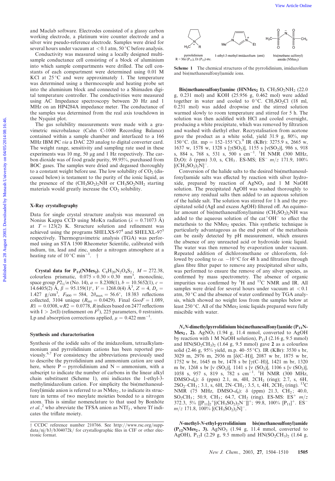and Maclab software. Electrodes consisted of a glassy carbon working electrode, a platinum wire counter electrode and a silver wire pseudo-reference electrode. Samples were dried for several hours under vacuum at  $< 0.1$  atm, 50 °C before analysis.

Conductivity was measured using a locally designed multisample conductance cell consisting of a block of aluminium into which sample compartments were drilled. The cell constants of each compartment were determined using 0.01 M KCl at  $25^{\circ}$ C and were approximately 1. The temperature was determined using a thermocouple and heating probe set into the aluminium block and connected to a Shimaden digital temperature controller. The conductivities were measured using AC Impedance spectroscopy between 20 Hz and 1 MHz on an HP4284A impedance meter. The conductance of the samples was determined from the real axis touchdown in the Nyquist plot.

The gas solubility measurements were made with a gravimetric microbalance (Cahn C-1000 Recording Balance) contained within a sample chamber and interfaced to a 166 MHz IBM PC via a DAC 220 analog to digital converter card. The weight range, sensitivity and sampling rate used in these experiments was  $10 \text{ mg}$ ,  $50 \text{ µ}$  and  $1 \text{ Hz}$  respectively. The carbon dioxide was of food grade purity, 99.95%, purchased from BOC gases. The samples were dried and degassed thoroughly to a constant weight before use. The low solubility of  $CO<sub>2</sub>$  (discussed below) is testament to the purity of the ionic liquid, as the presence of the  $(CH_3SO_2)_2NH$  or  $CH_3SO_2NH_2$  starting materials would greatly increase the  $CO<sub>2</sub>$  solubility.

#### X-Ray crystallography

Data for single crystal structure analysis was measured on Nonius Kappa CCD using MoK $\alpha$  radiation ( $\lambda = 0.71073$  Å) at  $T = 123(2)$  K. Structure solution and refinement was achieved using the programs SHELXS-97<sup>4</sup> and SHELXL-97<sup>5</sup> respectively. Thermogravimetric analysis (TGA) was performed using an STA 1500 Rheometer Scientific, calibrated with indium, tin, lead and zinc, under a nitrogen atmosphere at a heating rate of  $10^{\circ}$ C min<sup>-1</sup>.  $\dagger$ 

Crystal data for  $P_{11}(NMes_2)$ .  $C_8H_{20}N_2O_4S_2$ ,  $M = 272.38$ , colourless prismatic,  $0.075 \times 0.30 \times 0.30$  mm<sup>3</sup>, monoclinic, space group  $P2_1/n$  (No. 14),  $a = 8.2308(1)$ ,  $b = 10.5652(1)$ ,  $c =$ 14.6405(2)  $\mathring{A}$ ,  $\mathring{\beta} = 95.159(1)^\circ$ ,  $V = 1268.0(4) \mathring{A}^3$ ,  $Z = 4$ ,  $D_c =$ 1.427 g/cm<sup>3</sup>,  $F_{000} = 584$ ,  $2\theta_{\text{max}} = 56.6^{\circ}$ , 18383 reflections collected, 3104 unique  $(R_{int} = 0.0429)$ . Final  $GooF = 1.089$ .  $R1 = 0.0308, wR2 = 0.0778, R$  indices based on 2477 reflections with I >  $2\sigma(I)$  (refinement on  $F^2$ ), 225 parameters, 0 restraints. Lp and absorption corrections applied,  $\mu = 0.422$  mm<sup>-1</sup>.

#### Synthesis and characterisation

Synthesis of the iodide salts of the imidazolium, tetraalkylammonium and pyrrolidinium cations has been reported previously.6,7 For consistency the abbreviations previously used to describe the pyrrolidinium and ammonium cation are used here, where  $P =$  pyrrolidinium and  $N =$  ammonium, with a subscript to indicate the number of carbons in the linear alkyl chain substituent (Scheme 1), emi indicates the 1-ethyl-3 methylimidazolium cation. For simplicity the bis(methanesulfonyl)imide anion is referred to as  $NMes<sub>2</sub>$ , to indicate its structure in terms of two mesylate moieties bonded to a nitrogen atom. This is similar nomenclature to that used by Bonhôte et al.,<sup>2</sup> who abreviate the TFSA anion as  $NTf_2$ , where Tf indicates the triflate moiety.



Scheme 1 The chemical structures of the pyrrolidinium, imidazolium and bis(methanesulfonyl)amide ions.

Bis(methanesulfonyl)amine (HNMes<sub>2</sub> 1).  $CH<sub>3</sub>SO<sub>2</sub>NH<sub>2</sub>$  (22.0) g, 0.231 mol) and KOH (25.956 g, 0.462 mol) were added together in water and cooled to  $0^{\circ}$ C. CH<sub>3</sub>SO<sub>2</sub>Cl (18 ml, 0.231 mol) was added dropwise and the stirred solution warmed slowly to room temperature and stirred for 5 h. The solution was then acidified with HCl and cooled overnight, producing a white precipitate, which was removed by filtration and washed with diethyl ether. Recrystalisation from acetone gave the product as a white solid, yield 31.9 g, 80%, mp 150 °C. (lit. mp = 152–155 °C).<sup>9</sup> IR (KBr): 3275.9 s, 2665 w, 1637 w, 1578 w, 1328 s [ $\gamma(SO_2)$ ], 1155 s [ $\nu(SO_2)$ ], 986 s, 918 s, 884 s, 768 s, 531 s, 500 s cm<sup>-1</sup>. <sup>1</sup>H NMR (300 MHz, D<sub>2</sub>O):  $\delta$  (ppm) 3.0, s, CH<sub>3</sub>. ES-MS; ES<sup>-</sup> m/z 171.9, 100%  $[(CH_3SO_2)_2N]$ <sup>-</sup>

Conversion of the halide salts to the desired bis(methanesulfonyl)amide salts was effected by reaction with silver hydroxide, prepared by reaction of AgNO<sub>3</sub> and 1 M NaOH solution. The precipitated AgOH was washed thoroughly to remove any residual salts then added to an aqueous solution of the halide salt. The solution was stirred for 1 h and the precipitated solid (AgI and excess AgOH) filtered off. An equimolar amount of bis(methanesulfonyl)amine  $(CH_3SO_2)_2NH$  was added to the aqueous solution of the  $cat<sup>+</sup>OH<sup>-</sup>$  to effect the metathesis to the  $NMes<sub>2</sub>$  species. This synthetic technique is particularly advantageous as the end point of the metathesis can be easily detected by pH measurement, which ensures the absence of any unreacted acid or hydroxide ionic liquid. The water was then removed by evaporation under vacuum. Repeated addition of dichloromethane or chloroform, followed by cooling to ca.  $-10$  °C for 48 h and filtration through glass fibre filter paper to remove any precipitated silver salts, was performed to ensure the remove of any silver species, as confirmed by mass spectrometry. The absence of organic impurities was confirmed by  ${}^{1}H$  and  ${}^{13}C$  NMR and IR. All samples were dried for several hours under vacuum at  $< 0.1$ atm, 50 °C and the absence of water confirmed by TGA analysis, which showed no weight loss from the samples below at least 250 °C. All of the NMes<sub>2</sub> ionic liquids prepared were fully miscibile with water. From the Solution of the Solution of the Solution of the Solution of the Solution of the Solution of the Solution of the Solution of the Solution of the Solution of the Solution of the Solution of the Solution of the Solu

> $N$ , $N$ -dimethylpyrrolidinium bis(methanesulfonyl)amide (P<sub>11</sub>N- $Mes<sub>2</sub>, 2). AgNO<sub>3</sub> (1.94 g, 11.4 mmol, converted to AgOH)$ by reaction with 1 M NaOH solution),  $P_{11}I$  (2.16 g, 9.5 mmol) and  $HN(SO_2CH_3)_2$  (1.64 g, 9.5 mmol) gave 2 as a colourless solid (2.46 g, 95% yield, m.p. 40–55 °C). IR (KBr): 3530 s br, 3029 m, 2976 m, 2936 m [d(C–H)], 2087 w br, 1875 w br, 1752 w br, 1645 m br, 1478 s br [g(C–H)], 1421 m br, 1320 m br, 1268 s br [v (SO<sub>2</sub>)], 1141 s [v (SO<sub>2</sub>)], 1106 s [v (SO<sub>2</sub>)],  $1058$  s,  $957$  s,  $819$  s,  $782$  s cm<sup>-1</sup>. <sup>1</sup>H NMR (300 MHz, DMSO- $d_6$ ):  $\delta$  (ppm) 2.1, m, 4H, 2CH<sub>2</sub> (ring); 2.7, s, 6H,  $2SO_2$ –CH<sub>3</sub>; 3.1, s, 6H, 2N–CH<sub>3</sub>; 3.5, t, 4H, 2CH<sub>2</sub> (ring). <sup>13</sup>C NMR (75 MHz, DMSO- $d_6$ ):  $\delta$  (ppm) 21.3, CH<sub>2</sub>; 40.0,  $SO_2CH_3$ ; 50.9, CH<sub>3</sub>; 64.7, CH<sub>2</sub> (ring). ES-MS: ES<sup>+</sup>  $m/z$ 372.3, 5%  $[[P_{11}]_2^+[(CH_3SO_2)_2N^-]]^+$ ; 99.8, 100%  $[P_{11}]^+$ . ES<sup>-</sup>  $m/z$  171.8, 100%  $[(CH_3SO_2)_2N]$ .

> N-methyl-N-ethyl-pyrrolidinium bis(methanesulfonyl)amide  $(P_{12}NMes_2, 3)$ . Ag $NO_3$  (1.94 g, 11.4 mmol, converted to AgOH),  $P_{12}I$  (2.29 g, 9.5 mmol) and  $HN(SO_2CH_3)_2$  (1.64 g,

y CCDC reference number 210766. See http://www.rsc.org/suppdata/nj/b3/b304072k/ for crystallographic files in CIF or other electronic format.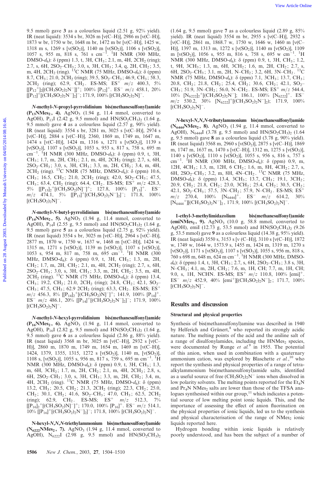9.5 mmol) gave 3 as a colourless liquid (2.51 g, 92% yield). IR (neat liquid): 3534 s br, 3026 m [v(C–H)], 2986 m [v(C–H)], 1873 w br, 1750 w br, 1648 m br, 1472 m br [v(C–H)], 1425 w, 1318 m s, 1269 s [v(SO<sub>2</sub>)], 1140 m [v(SO<sub>2</sub>)], 1106 s [v(SO<sub>2</sub>)],  $1057$  s, 955 m, 818 s, 761 s cm<sup>-1</sup>. <sup>1</sup>H NMR (300 MHz, DMSO- $d_6$ ):  $\delta$  (ppm) 1.3, t, 3H, CH<sub>3</sub>; 2.1, m, 4H, 2CH<sub>2</sub> (ring); 2.7, s, 6H,  $2SO_2$ –CH<sub>3</sub>; 3.0, s, 3H, CH<sub>3</sub>; 3.4, q, 2H, CH<sub>2</sub>; 3.5, m, 4H, 2CH<sub>2</sub> (ring). <sup>13</sup>C NMR (75 MHz, DMSO-d<sub>6</sub>):  $\delta$  (ppm) 8.7, CH<sub>3</sub>; 21.0, 2CH<sub>2</sub> (ring); 39.5,  $SO_2$ -CH<sub>3</sub>; 46.9, CH<sub>3</sub>; 58.3,  $2CH_2$  (ring); 62.9,  $CH_2$ . ES-MS;  $ES^+$   $m/z$  400.3, 5%  $[[P_{12}^{\dagger}]_2[(CH_3SO_2)_2N^-]]^{\dagger}; 100\% [P_{12}]^{\dagger}. ES^- m/z 458.1, 20\%$  $[[P_{12}]^+[(CH_3SO_2)_2N^-]_2^-; 171.9, 100\%[(CH_3SO_2)_2N]^-.$ 

N-methyl-N-propyl-pyrrolidinium bis(methanesulfonyl)amide  $(P_{13}NMes_2, 4)$ . AgNO<sub>3</sub> (1.94 g, 11.4 mmol, converted to AgOH), P<sub>13</sub>I (2.42 g, 9.5 mmol) and HN(SO<sub>2</sub>CH<sub>3</sub>)<sub>2</sub> (1.64 g, 9.5 mmol) gave 4 as a colourless liquid (2.57 g, 90% yield). IR (neat liquid): 3554 s br, 3281 m, 3025 s [v(C–H)], 2974 s [v(C-H)], 2884 s [v(C-H)], 2360, 1869 m, 1749 m, 1647 m, 1474 s  $[v(C-H)]$ , 1424 m, 1316 s, 1271 s  $[v(SO<sub>2</sub>)]$ , 1139 s [v(SO<sub>2</sub>)], 1107 s [v(SO<sub>2</sub>)], 1053 s, 953 s, 817 s, 758 s, 695 m cm<sup>-1</sup>. <sup>1</sup>H NMR (300 MHz, DMSO- $d_6$ ):  $\delta$  (ppm) 0.9, t, 3H,  $CH_3$ ; 1.7, m, 2H,  $CH_2$ ; 2.1, m, 4H, 2CH<sub>2</sub> (ring); 2.7, s, 6H, 2SO<sub>2</sub>-CH<sub>3</sub>; 3.0, s, 3H, CH<sub>3</sub>; 3.3, m, 2H, CH<sub>2</sub>; 3.4, m, 4H, 2CH<sub>2</sub> (ring). <sup>13</sup>C NMR (75 MHz, DMSO- $d_6$ ):  $\delta$  (ppm) 10.6,  $CH_3$ ; 16.5,  $CH_2$ ; 21.0, 2CH<sub>2</sub> (ring); 42.0,  $SO_2$ -CH<sub>3</sub>; 47.5, CH<sub>3</sub>; 63.4, CH<sub>2</sub> (ring); 64.4, CH<sub>2</sub>. ES-MS; ES<sup>+</sup>  $m/z$  428.3, 5%  $[[P_{13}]_2^+$ [(CH<sub>3</sub>SO<sub>2</sub>)N]<sup>-</sup>]<sup>+</sup>; 127.8, 100%  $[P_{13}]^+$ . ES<sup>-</sup>  $m/z$  474.1, 5%  $[[P_{13}]^+[(CH_3SO_2)_2N^-]_2]^-$ ; 171.8, 100%  $[ (CH<sub>3</sub>SO<sub>2</sub>)<sub>2</sub>N ]<sup>-</sup>.$ 9.5. The Lie Consense of the Consense of the Consense of the Consense of the Consense of the Consense of the Consense of the Consense of the Consense of the Consense of the Consense of the Consense of the Consense of the

N-methyl-N-butyl-pyrrolidinium bis(methanesulfonyl)amide  $(P_{14}NMes_2, 5)$ . Ag $NO_3$  (1.94 g, 11.4 mmol, converted to AgOH),  $P_{14}I$  (2.55 g, 9.5 mmol) and  $HN(SO_2CH_3)_2$  (1.64 g, 9.5 mmol) gave 5 as a colourless liquid (2.75 g, 92% yield). IR (neat liquid) 3554 s br, 3025 m [v(C–H)], 2964 s [v(C–H)], 2877 m, 1870 w, 1750 w, 1637 w, 1468 m [n(C–H)], 1424 w, 1315 m, 1271 s [v(SO<sub>2</sub>)], 1139 m [v(SO<sub>2</sub>)], 1107 s [v(SO<sub>2</sub>)],  $1053$  s, 954 m, 817 m, 758 m, 695 cm<sup>-1</sup>. <sup>1</sup>H NMR (300 MHz, DMSO-d<sub>6</sub>):  $\delta$  (ppm) 0.9, t, 3H, CH<sub>3</sub>; 1.3, m, 2H,  $CH_2$ ; 1.7, m, 2H,  $CH_2$ ; 2.1, m, 4H, 2CH<sub>2</sub> (ring); 2.7, s, 6H,  $2SO_2$ -CH<sub>3</sub>; 3.0, s, 3H, CH<sub>3</sub>; 3.3, m, 2H, CH<sub>2</sub>; 3.5, m, 4H,  $2CH_2$  (ring). <sup>13</sup>C NMR (75 MHz, DMSO- $d_6$ ):  $\delta$  (ppm) 13.4, CH<sub>3</sub>; 19.2, CH<sub>2</sub>; 21.0, 2CH<sub>2</sub> (ring); 24.8, CH<sub>2</sub>; 42.1, SO<sub>2</sub>-CH<sub>3</sub>; 47.5, CH<sub>3</sub>; 62.9 2CH<sub>2</sub> (ring); 63.3, CH<sub>2</sub>. ES-MS; ES<sup>+</sup>  $m/z$  456.3, 8%  $[[P_{14}]_2^+[(CH_3SO_2)\text{N}]^-]^+$ ; 141.9, 100%  $[P_{14}]^+$ .  $ES^ m/z$  486.1, 20%  $[[P_{14}]^+[(CH_3SO_2)_2N^-]_2]^-$ ; 171.9, 100%  $[ (CH<sub>3</sub>SO<sub>2</sub>)<sub>2</sub>N]$ <sup>-</sup>.

N-methyl-N-hexyl-pyrrolidinium bis(methanesulfonyl)amide  $(P_{16}NMes<sub>2</sub>$ , 6). AgNO<sub>3</sub> (1.94 g, 11.4 mmol, converted to AgOH),  $P_{16}I$  (2.82 g, 9.5 mmol) and HN(SO<sub>2</sub>CH<sub>3</sub>)<sub>2</sub> (1.64 g, 9.5 mmol) gave 6 as a colourless liquid (2.86 g, 88% yield). IR (neat liquid) 3568 m br, 3025 m [v(C–H)], 2932 s [v(C– H)], 2860 m, 1870 m, 1749 m, 1654 m, 1469 m [v(C–H)], 1424, 1379, 1355, 1315, 1272 s [v(SO<sub>2</sub>)], 1140 m, [v(SO<sub>2</sub>)],  $1108$  s, [v(SO<sub>2</sub>)], 1055 s, 956 m, 817 s, 759 s, 695 m cm<sup>-1</sup>. <sup>1</sup>H NMR (300 MHz, DMSO- $d_6$ ):  $\delta$  (ppm) 0.9, t, 3H, CH<sub>3</sub>; 1.3, m, 6H, 3CH<sub>2</sub>; 1.7, m, 2H, CH<sub>2</sub>; 2.1, m, 4H, 2CH<sub>2</sub>; 2.8, s, 6H,  $2SO_2$ -CH<sub>3</sub>; 3.0, s, 3H, CH<sub>3</sub>; 3.3, m, 2H, CH<sub>2</sub>; 3.4, m, 4H, 2CH<sub>2</sub> (ring). <sup>13</sup>C NMR (75 MHz, DMSO- $d_6$ ):  $\delta$  (ppm) 13.2, CH<sub>3</sub>; 20.5, CH<sub>2</sub>; 21.3, 2CH<sub>2</sub> (ring); 22.3, CH<sub>2</sub>; 25.0, CH<sub>2</sub>; 30.1, CH<sub>2</sub>; 41.6, SO<sub>2</sub>-CH<sub>3</sub>; 47.0, CH<sub>3</sub>; 62.5, 2CH<sub>2</sub> (ring); 62.9, CH<sub>2</sub>. ES-MS; ES<sup>+</sup>  $m/z$  512.3, 7%  $[[P_{16}]_2^+$ [(CH<sub>3</sub>SO<sub>2</sub>)N]<sup>-</sup>]<sup>+</sup>; 170.0, 100%  $[P_{16}]^+$ . ES<sup>-</sup> m/z 514.1,  $10\%$  [[P<sub>16</sub>]<sup>+</sup>[(CH<sub>3</sub>SO<sub>2</sub>)<sub>2</sub>N<sup>-</sup>]<sub>2</sub>]<sup>-</sup>; 171.8, 100% [(CH<sub>3</sub>SO<sub>2</sub>)<sub>2</sub>N]<sup>-</sup>.

N-hexyl-N,N,N-triethylammonium bis(methanesulfonyl)amide  $(N_{6222}NMes_2, 7)$ . AgNO<sub>3</sub> (1.94 g, 11.4 mmol, converted to AgOH),  $N_{6222}I$  (2.98 g, 9.5 mmol) and  $HN(SO_2CH_3)_2$  (1.64 g, 9.5 mmol) gave 7 as a colourless liquid (2.89 g, 85% yield). IR (neat liquid) 3554 m br, 2955 s  $[v(C-H)]$ , 2932 s [ $v(C-H)$ ], 2861 m, 1868.7 w, 1750 w, 1646 w, 1460 m [ $v(C-H)$ ] H)], 1397 m, 1313 m, 1272 s [v(SO<sub>2</sub>)], 1140 m [v(SO<sub>2</sub>)], 1109 m [v(SO<sub>2</sub>)], 1056 s, 955 m, 816 s, 758 s, 695 w cm<sup>-1</sup>. <sup>1</sup>H NMR (300 MHz, DMSO-d<sub>6</sub>): δ (ppm) 0.9, t, 3H, CH<sub>3</sub>; 1.2, t, 9H, 3CH<sub>3</sub>; 1.3, m, 6H, 3CH<sub>2</sub>; 1.6, m, 2H, CH<sub>2</sub>; 2.7, s, 6H, 2SO<sub>2</sub>–CH<sub>3</sub>; 3.1, m, 2H, N–CH<sub>2</sub>; 3.2, 6H, 3N–CH<sub>2</sub>. <sup>13</sup>C NMR (75 MHz, DMSO- $d_6$ ):  $\delta$  (ppm) 7.1, 3CH<sub>3</sub>; 13.7, CH<sub>3</sub>; 20.8, CH<sub>2</sub>; 21.8, CH<sub>2</sub>; 25.4, CH<sub>2</sub>; 30.6, CH<sub>2</sub>; 42.1, SO<sub>2</sub>-CH<sub>3</sub>; 51.9, 3N–CH<sub>2</sub>; 56.0, N–CH<sub>2</sub>. ES-MS; ES<sup>+</sup>  $m/z$  544.4,  $10\%$  [N<sub>6222</sub>]<sub>2</sub><sup>+</sup>[(CH<sub>3</sub>SO<sub>2</sub>)<sub>2</sub>N<sup>-</sup>]; 186.1, 100% [N<sub>6222</sub>]<sup>+</sup>. ES<sup>-</sup>  $m/z$  530.2, 30%  $[N_{6222}]^+$ [(CH<sub>3</sub>SO<sub>2</sub>)<sub>2</sub>N<sup>-</sup>]<sub>2</sub>); 171.9, 100%  $[(CH_3SO_2)_2N]^{-}$ .

N-hexyl-N,N,N-tributylammonium bis(methanesulfonyl)amide  $(N_{6444}NMes_2, 8)$ . AgNO<sub>3</sub> (1.94 g, 11.4 mmol, converted to AgOH), N<sub>6444</sub>I (3.78 g, 9.5 mmol) and  $HN(SO_2CH_3)_2$  (1.64 g, 9.5 mmol) gave 8 as a colourless liquid (3.78 g, 90% yield). IR (neat liquid) 3568 m, 2960 s [v(SO<sub>2</sub>)], 2875 s [v(C–H)], 1869 m, 1747 m, 1637 m, 1470 s [v(C–H)], 1312 m, 1275 s [v(SO<sub>2</sub>)], 1140 s [v(SO<sub>2</sub>)], 1110 s [v(SO<sub>2</sub>)], 1055 s, 956 s, 816 s, 757 s  $cm^{-1}$ . <sup>1</sup>H NMR (300 MHz, DMSO-d<sub>6</sub>): δ (ppm) 0.9, m, 12H, 4CH<sub>3</sub>; 1.3, m, 12H, 6 CH<sub>2</sub>; 1.6, m, 8H, 4CH<sub>2</sub>; 2.7, s, 6H,  $2SO_2$ –CH<sub>3</sub>; 3.2, m, 8H, 4N–CH<sub>2</sub>. <sup>13</sup>C NMR (75 MHz, DMSO- $\bar{d}_6$ ):  $\delta$  (ppm) 13.4, 3CH<sub>3</sub>; 13.7, CH<sub>3</sub>; 19.1, 3CH<sub>2</sub>; 20.9, CH<sub>2</sub>; 21.8, CH<sub>2</sub>; 23.0, 3CH<sub>2</sub>; 25.4, CH<sub>2</sub>; 30.5, CH<sub>2</sub>; 42.1, SO<sub>2</sub>-CH<sub>3</sub>; 57.5, 3N-CH<sub>2</sub>; 57.9, N-CH<sub>2</sub>. ES-MS; ES<sup>+</sup>  $m/z$  270.4, 100%  $[N_{6444}]^{\text{+}}$ . ES<sup>-</sup>  $m/z$  614.2, 30%  $[N_{6444}^+][(CH_3SO_2)_2N^-]_2$ , 171.9, 100%  $[(CH_3SO_2)_2N]$ .

1-ethyl-3-methylimidazolium bis(methanesulfonyl)amide (emiNMes<sub>2</sub>, 9).  $AgNO<sub>3</sub>$  (10.0 g, 58.8 mmol, converted to AgOH), emiI (12.73 g, 53.5 mmol) and  $HN(SO_2CH_3)_2$  (9.26 g, 53.5 mmol) gave 9 as a colourless liquid (14.38 g, 95% yield). IR (neat liquid) 3550 s, 3153 s [v (C–H)], 3110 s [v (C–H)], 1872 w, 1749 w, 1644 w, 1573.9 s, 1455 m, 1424 m, 1319 m, 1270 s [ $v(SO_2)$ ], 1171 s [ $v(SO_2)$ ], 1107 s [ $v(SO_2)$ ], 1055 s, 956 m, 818 s,  $760 s 698 m$ , 648 m, 624 m cm<sup>-1</sup>. <sup>1</sup>H NMR (300 MHz, DMSO $d_6$ :  $\delta$  (ppm) 1.4, t, 3H, CH<sub>3</sub>; 2.7, s, 6H, 2SO<sub>2</sub>–CH<sub>3</sub>; 3.8 s, 3H, N–CH<sub>3</sub>; 4.1, m, 2H, CH<sub>2</sub>; 7.6, m, 1H, CH; 7.7, m, 1H, CH; 9.0, s, 1H, NCHN. ES-MS;  $ES^{+}$   $m/z$  110.8, 100%  $[emi]^{+}$ . ES<sup>-</sup>  $m/z$  452.9, 40% [emi<sup>+</sup>][(CH<sub>3</sub>SO<sub>2</sub>)<sub>2</sub>N<sup>-</sup>]<sub>2</sub>; 171.7, 100%  $[(CH<sub>3</sub>SO<sub>2</sub>)<sub>2</sub>N]$ .

### Results and discussion

#### Structural and physical properties

Synthesis of bis(methansulfonyl)amine was described in 1940 by Helferich and Grünert,<sup>8</sup> who reported its strongly acidic nature. The melting points of the acid and the aniline salt of a range of disulfonylamides, including the  $HNMes<sub>2</sub>$  species, were documented by Runge et  $al$ <sup>9</sup> in 1955. The potential of this anion, when used in combination with a quaternary ammonium cation, was explored by Blaschette et  $al$ , <sup>10</sup> who report the synthesis and physical properties of a range of tetraalkylammonium bis(methanesulfonyl)amide salts, identified as a useful source of free  $(CH_3SO_2)_2N^-$  ions when dissolved in low polarity solvents. The melting points reported for the  $Et_4N$ and  $Pr_4N$   $NMes_2$  salts are lower than those of the TFSA analogues synthesised within our group, $11$  which indicates a potential source of low melting point ionic liquids. This, and the importance of assessing the effect of anion fluorination on the physical properties of ionic liquids, led us to the synthesis and physical characterisation of the range of  $NMes<sub>2</sub>$  ionic liquids reported here.

Hydrogen bonding within ionic liquids is relatively poorly understood, and has been the subject of a number of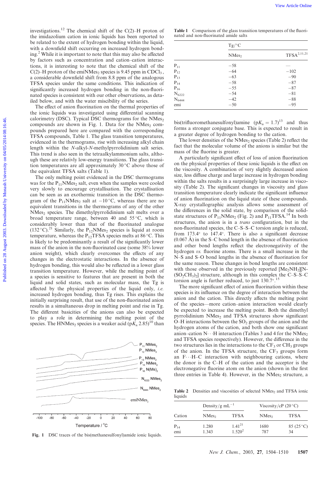investigations.<sup>12</sup> The chemical shift of the C(2)–H proton of the imidazolium cation in ionic liquids has been reported to be related to the extent of hydrogen bonding within the liquid, with a downfield shift occurring on increased hydrogen bonding.<sup>2</sup> While it is important to note that this may also be affected by factors such as concentration and cation–cation interactions, it is interesting to note that the chemical shift of the C(2)–H proton of the emiNMes<sub>2</sub> species is 9.45 ppm in CDCl<sub>3</sub>, a considerable downfield shift from 8.8 ppm of the analogous TFSA species under the same conditions. This indication of significantly increased hydrogen bonding in the non-fluorinated species is consistent with our other observations, as detailed below, and with the water miscibility of the series.

The effect of anion fluorination on the thermal properties of the ionic liquids was investigated using differential scanning calorimetry (DSC). Typical DSC thermograms for the  $NMes<sub>2</sub>$ compounds are shown in Fig. 1. Data for the  $NMes<sub>2</sub>$  compounds prepared here are compared with the corresponding TFSA compounds, Table 1. The glass transition temperatures, evidenced in the thermograms, rise with increasing alkyl chain length within the N-alkyl-N-methylpyrrolidinium salt series. This trend is also seen in the tetraalkylammonium salts, although these are relativly low-energy transitions. The glass transition temperatures are all approximately  $30^{\circ}$ C above those of the equivalent TFSA salts (Table 1).

The only melting point evidenced in the DSC thermograms was for the  $P_{11}NMes_2$  salt, even when the samples were cooled very slowly to encourage crystallisation. The crystallisation can be seen as an exothermic transition in the DSC thermogram of the  $P_{11}NMes_2$  salt at  $-10^{\circ}C$ , whereas there are no equivalent transitions in the thermograms of any of the other NMes<sub>2</sub> species. The dimethylpyrrolidinium salt melts over a broad temperature range, between 40 and  $55^{\circ}$ C, which is considerably lower than that of the fluorinated analogue  $(132^{\circ}C)^{21}$  Similarly, the P<sub>12</sub>NMes<sub>2</sub> species is liquid at room temperature, whereas the  $P_{12}TFSA$  species melts at 86 °C. This is likely to be predominantly a result of the significantly lower mass of the anion in the non-fluorinated case (some 38% lower anion weight), which clearly overcomes the effects of any changes in the electrostatic interactions. In the absence of hydrogen bonding, this would also be reflected in a lower glass transition temperature. However, while the melting point of a species is sensitive to features that are present in both the liquid and solid states, such as molecular mass, the Tg is affected by the physical properties of the liquid only, i.e. increased hydrogen bonding, thus Tg rises. This explains the initially surprising result, that use of the non-fluorinated anion results in a simultaneous drop in melting point and rise in Tg. The different basicities of the anions can also be expected to play a role in determining the melting point of the species. The HNMes<sub>2</sub> species is a weaker acid  $(pK_a 2.85)^{10}$  than



Fig. 1 DSC traces of the bis(methanesulfonyl)amide ionic liquids.

Table 1 Comparison of the glass transition temperatures of the fluorinated and non-fluorinated amide salts

|            | $Tg$ <sup>o</sup> C |                  |
|------------|---------------------|------------------|
|            | NMes <sub>2</sub>   | $TFSA^{2,11,21}$ |
| $P_{11}$   | $-58$               |                  |
| $P_{12}$   | $-64$               | $-102$           |
| $P_{13}$   | $-63$               | $-90$            |
| $P_{14}$   | $-58$               | $-87$            |
| $P_{16}$   | $-55$               | $-87$            |
| $N_{6222}$ | $-54$               | $-81$            |
| $N_{6444}$ | $-42$               | $-88$            |
| emi        | $-50$               | $-95$            |

bis(trifluoromethanesulfonyl)amine  $(pK_a = 1.7)^{13}$  and thus forms a stronger conjugate base. This is expected to result in a greater degree of hydrogen bonding to the cation.

The lower densities of the  $NMes<sub>2</sub> species (Table 2) reflect the$ fact that the molecular volume of the anions is similar but the mass of the fluorine is greater.

A particularly significant effect of loss of anion fluorination on the physical properties of these ionic liquids is the effect on the viscosity. A combination of very slightly decreased anion size, less diffuse charge and large increase in hydrogen bonding within the salts results in a surprisingly large increase in viscosity (Table 2). The significant changes in viscosity and glass transition temperature clearly indicate the significant influence of anion fluorination on the liquid state of these compounds. X-ray crystallographic analysis allows some assessment of the differences in the solid state, by comparison of the solidstate structures of  $P_{11}NMes_2$  (Fig. 2) and  $P_{11}TFSA.<sup>14</sup>$  In both structures, the anion is in a *trans* configuration, but in the non-fluorinated species, the C–S–S–C torsion angle is reduced, from 173.4° to 147.4°. There is also a significant decrease  $(0.067 \text{ Å})$  in the S–C bond length in the absence of fluorination and other bond lengths reflect the electronegativity of the hydrogen vs. fluorine atoms. There is a small increase in the N–S and S–O bond lengths in the absence of fluorination for the same reason. These changes in bond lengths are consistent with those observed in the previously reported  $[Me_2NH_2]$ [N- $(SO_2CH_3)_2$ ] structure, although in this complex the C–S–S–C torsion angle is further reduced, to just  $130.7^{\circ}$ .<sup>15</sup> Procedurations.<sup>13</sup> The chemical shift of the City II protes of Table 1. Comparison of the glass compensate of believes the interest of the computer of the computer of the computer of the computer of the computer of the c

> The more significant effect of anion fluorination within these species is its influence on the degree of interaction between the anion and the cation. This directly affects the melting point of the species—more cation–anion interaction would clearly be expected to increase the melting point. Both the dimethyl pyrrolidinium NMes<sub>2</sub> and TFSA structures show significant O–H interactions between the  $SO<sub>2</sub>$  groups of the anion and the hydrogen atoms of the cation, and both show one significant anion–cation N $\cdots$ H interaction (Tables 3 and 4 for the NMes<sub>2</sub> and TFSA species respectively). However, the difference in the two structures lies in the interactions to the  $CF_3$  or  $CH_3$  groups of the anion. In the TFSA structure, the  $CF_3$  groups form an  $F \cdot H - C$  interaction with neighbouring cations, where the donor is the C–H of the cation and the acceptor is the electronegative fluorine atom on the anion (shown in the first three entries in Table 4). However, in the  $NMes<sub>2</sub>$  structure, a

Table 2 Densities and viscosities of selected  $NMe<sub>2</sub>$  and TFSA ionic liquids

|                 |                   | Density/g $mL^{-1}$              |                   | Viscosity/cP $(20^{\circ}C)$ |  |
|-----------------|-------------------|----------------------------------|-------------------|------------------------------|--|
| Cation          | NMes <sub>2</sub> | <b>TFSA</b>                      | NMes <sub>2</sub> | <b>TFSA</b>                  |  |
| $P_{14}$<br>emi | 1.280<br>1.343    | $141^{21}$<br>1.520 <sup>2</sup> | 1680<br>787       | 85 $(25^{\circ}C)$<br>34     |  |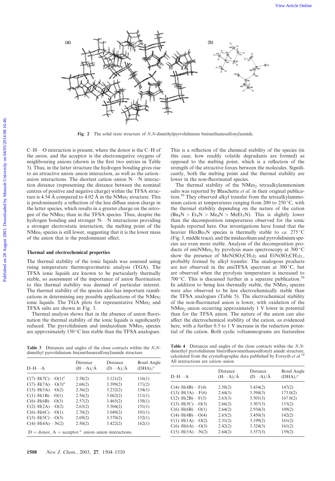

Fig. 2 The solid state structure of N,N-dimethylpyrrolidinium bis(methanesulfonyl)amide.

 $C-H \cdot \cdot O$  interaction is present, where the donor is the C–H of the anion, and the acceptor is the electronegative oxygens of neighbouring anions (shown in the first two entries in Table 3). Thus, in the latter structure the hydrogen bonding gives rise to an attractive anion–anion interaction, as well as the cation– anion interactions. The shortest cation–anion  $N \cdots N$  interaction distance (representing the distance between the nominal centres of positive and negative charge) within the TFSA structure is 4.54 Å compared to 4.02 Å in the NMes<sub>2</sub> structure. This is predominantly a reflection of the less diffuse anion charge in the latter species, which results in a greater charge on the nitrogen of the NMes<sub>2</sub> than in the TFSA species. Thus, despite the hydrogen bonding and stronger  $N \cdot \cdot N$  interactions providing a stronger electrostatic interaction, the melting point of the NMes<sub>2</sub> species is still lower, suggesting that it is the lower mass of the anion that is the predominant effect.

#### Thermal and electrochemical properties

The thermal stability of the ionic liquids was assessed using rising temperature thermogravimetric analysis (TGA). The TFSA ionic liquids are known to be particularly thermally stable, so assessment of the importance of anion fluorination to this thermal stability was deemed of particular interest. The thermal stability of the species also has important ramifications in determining any possible applications of the  $NMes<sub>2</sub>$ ionic liquids. The TGA plots for representative NMes<sub>2</sub> and TFSA salts are shown in Fig. 3.

Thermal analysis shows that in the absence of anion fluorination the thermal stability of the ionic liquids is significantly reduced. The pyrrolidinium and imidazolium NMes<sub>2</sub> species are approximately  $150^{\circ}$ C less stable than the TFSA analogues.

Table 3 Distances and angles of the close contacts within the N,Ndimethyl pyrrolidinium bis(methanesulfonyl)amide structure

| $D-H \cdots A$                                                             | Distance<br>$(H \cdots A)/A$ | Distance<br>$(D \cdots A)/A$ | <b>Bond Angle</b><br>(DHA)/° |
|----------------------------------------------------------------------------|------------------------------|------------------------------|------------------------------|
| $C(7)$ -H(7C) $\cdots$ O(1) <sup>a</sup>                                   | 2.58(2)                      | 3.121(2)                     | 116(1)                       |
| $C(7) - H(7A) \cdots O(3)^{a}$                                             | 2.68(2)                      | 3.599(2)                     | 171(2)                       |
| $C(5) - H(5A) \cdots O(2)$                                                 | 2.36(2)                      | 3.232(2)                     | 154(1)                       |
| $C(1) - H(1B) \cdots O(1)$                                                 | 2.56(2)                      | 3.062(2)                     | 111(1)                       |
| $C(6) - H(6B) \cdots O(3)$                                                 | 2.57(2)                      | 3.465(2)                     | 158(1)                       |
| $C(2) - H(2A) \cdots O(2)$                                                 | 2.63(2)                      | 3.504(2)                     | 151(1)                       |
| $C(6) - H(6C) \cdots O(1)$                                                 | 2.70(2)                      | 3.049(2)                     | 101(1)                       |
| $C(5)-H(5C)\cdots O(3)$                                                    | 2.69(2)                      | 3.570(2)                     | 152(1)                       |
| $C(4) - H(4A) \cdots N(2)$                                                 | 2.50(2)                      | 3.422(2)                     | 162(1)                       |
| $D =$ donor, $A =$ acceptor. <sup><i>a</i></sup> anion-anion interactions. |                              |                              |                              |

This is a reflection of the chemical stability of the species (in this case, how readily volatile degradants are formed) as opposed to the melting point, which is a reflection of the strength of the attractive forces between the molecules. Significantly, both the melting point and the thermal stability are lower in the non-fluorinated species.

The thermal stability of the  $NMes<sub>2</sub> tetraalkylammonium$ salts was reported by Blaschette  $et$  al. in their original publication.<sup>10</sup> They observed alkyl transfer from the tetraalkylammonium cation at temperatures ranging from 200 to  $250^{\circ}$ C, with the thermal stability depending on the nature of the cation  $(Bu_4N > Et_4N > Me_4N > MeEt_3N)$ . This is slightly lower than the decomposition temperatures observed for the ionic liquids reported here. Our investigations have found that the heavier HexBu<sub>3</sub>N species is thermally stable to *ca*. 275 °C (Fig. 3, middle trace), and the imidazolium and pyrrolidinium species are even more stable. Analysis of the decomposition products of emiNMes<sub>2</sub> by pyrolysis mass spectroscopy at  $300^{\circ}$ C show the presence of MeN $(SO_2CH_3)_2$  and EtN $(SO_2CH_3)_2$ , probably formed by alkyl transfer. The analogous products are not observed in the emiTFSA spectrum at  $300^{\circ}$ C, but are observed when the pyrolysis temperature is increased to 700 °C. This is discussed further in a separate publication.<sup>16</sup> In addition to being less thermally stable, the  $NMes<sub>2</sub>$  species were also observed to be less electrochemically stable than the TFSA analogues (Table 5). The electrochemical stability of the non-fluorinated anion is lower, with oxidation of the  $NMes<sub>2</sub>$  anion occurring approximately 1 V lower in potential than for the TFSA anion. The nature of the anion can also affect the electrochemical stability of the cation, as evidenced here, with a further 0.5 to 1 V increase in the reduction potential of the cation. Both cyclic voltammograms are featureless

Table 4 Distances and angles of the close contacts within the  $N$ , $N$ dimethyl pyrrolidinium bis(trifluoromethanesulfonyl) amide structure, calculated from the crystallographic data published by Forsyth et al.<sup>14</sup> All interactions are cation–anion

| $D-H \cdots A$                        | Distance<br>$(H \cdots A)/A$ | Distance<br>$(D \cdots A)/\dot{A}$ | Bond Angle<br>(DHA)/° |
|---------------------------------------|------------------------------|------------------------------------|-----------------------|
| $C(4) - H(4B) \cdots F(4)$            | 2.58(2)                      | 3.434(2)                           | 147(2)                |
| $C(3) - H(3A) \cdots F(6)$            | 2.64(3)                      | 3.594(3)                           | 173.0(2)              |
| $C(2) - H(2B) \cdots F(5)$            | 2.63(3)                      | 3.501(3)                           | 167.0(2)              |
| $C(3)$ -H(5C) $\cdots$ O(3)           | 2.66(2)                      | 3.507(3)                           | 153(2)                |
| $C(6)-H(6B)\cdots O(1)$               | 2.64(2)                      | 2.934(3)                           | 109(2)                |
| $C(4)$ -H(4B) $\cdots$ O(4)           | 2.65(2)                      | 3.450(3)                           | 142(2)                |
| $C(1)$ -H(1A) $\cdots$ O(2)           | 2.31(2)                      | 3.199(2)                           | 161(2)                |
| $C(6) - H(6A) \cdot \cdot \cdot O(3)$ | 2.42(2)                      | 3.324(3)                           | 161(2)                |
| $C(5) - H(5A) \cdots N(2)$            | 2.64(2)                      | 3.557(3)                           | 159(2)                |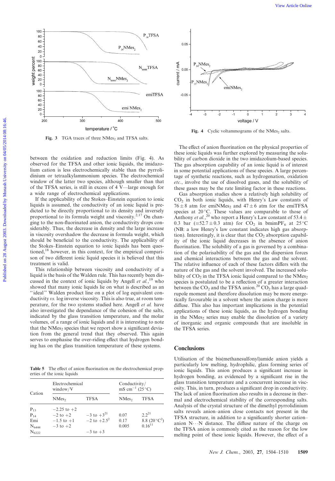

Fig. 3 TGA traces of three  $NMes<sub>2</sub>$  and TFSA salts.

between the oxidation and reduction limits (Fig. 4). As observed for the TFSA and other ionic liquids, the imidazolium cation is less electrochemically stable than the pyrrolidinium or tetraalkylammonium species. The electrochemical window of the latter two species, although smaller than that of the TFSA series, is still in excess of 4 V—large enough for a wide range of electrochemical applications.

If the applicability of the Stokes–Einstein equation to ionic liquids is assumed, the conductivity of an ionic liquid is predicted to be directly proportional to its density and inversely proportional to its formula weight and viscosity.2,17 On changing to the non-fluorinated anion, the conductivity drops considerably. Thus, the decrease in density and the large increase in viscosity overshadow the decrease in formula weight, which should be beneficial to the conductivity. The applicability of the Stokes–Einstein equation to ionic liquids has been questioned, $18$  however, in this context, for the empirical comparison of two different ionic liquid species it is believed that this treatment is valid.

This relationship between viscosity and conductivity of a liquid is the basis of the Walden rule. This has recently been discussed in the context of ionic liquids by Angell et  $al$ , <sup>19</sup> who showed that many ionic liquids lie on what is described as an "ideal" Walden product line on a plot of log equivalent conductivity vs. log inverse viscosity. This is also true, at room temperature, for the two systems studied here. Angell et al. have also investigated the dependance of the cohesion of the salts, indicated by the glass transition temperature, and the molar volumes, of a range of ionic liquids and it is interesting to note that the NMes<sub>2</sub> species that we report show a significant deviation from the general trend that they observed. This again serves to emphasise the over-riding effect that hydrogen bonding has on the glass transition temperature of these systems.

Table 5 The effect of anion fluorination on the electrochemical properties of the ionic liquids

| Cation     | Electrochemical<br>window/V |                   | Conductivity/<br>mS cm <sup>-1</sup> (25 °C) |                 |
|------------|-----------------------------|-------------------|----------------------------------------------|-----------------|
|            | NMes <sub>2</sub>           | <b>TFSA</b>       | NMes <sub>2</sub>                            | <b>TFSA</b>     |
| $P_{13}$   | $-2.25$ to $+2$             |                   |                                              |                 |
| $P_{14}$   | $-2$ to $+2$                | $-3$ to $+3^{21}$ | 0.07                                         | $2.2^{21}$      |
| Emi        | $-1.5$ to $+1$              | $-2$ to $+2.5^2$  | 0.17                                         | 8.8 $(20 °C^2)$ |
| $N_{6444}$ | $-3$ to $+2$                |                   | 0.005                                        | $0.16^{11}$     |
| $N_{6222}$ |                             | $-3$ to $+3$      |                                              |                 |



Fig. 4 Cyclic voltammograms of the NMes<sub>2</sub> salts.

The effect of anion fluorination on the physical properties of these ionic liquids was further explored by measuring the solubility of carbon dioxide in the two imidazolium-based species. The gas absorption capability of an ionic liquid is of interest in some potential applications of these species. A large percentage of synthetic reactions, such as hydrogenation, oxidation etc., involve the use of dissolved gases, and the solubility of these gases may be the rate limiting factor in these reactions.

Gas absorption studies show a relatively high solubility of  $CO<sub>2</sub>$  in both ionic liquids, with Henry's Law constants of  $76 \pm 8$  atm for emiNMes<sub>2</sub> and  $47 \pm 6$  atm for the emiTFSA species at  $20^{\circ}$ C. These values are comparable to those of Anthony et al.,<sup>20</sup> who report a Henry's Law constant of 53.4  $\pm$ 0.3 bar ( $\equiv$ 52.7  $\pm$  0.3 atm) for CO<sub>2</sub> in bmimPF<sub>6</sub> at 25 °C (NB: a low Henry's law constant indicates high gas absorption). Interestingly, it is clear that the  $CO<sub>2</sub>$  absorption capability of the ionic liquid decreases in the absence of anion fluorination. The solubility of a gas is governed by a combination of the polarisability of the gas and the dispersion forces and chemical interactions between the gas and the solvent. The relative influence of each of these factors differs with the nature of the gas and the solvent involved. The increased solubility of  $CO<sub>2</sub>$  in the TFSA ionic liquid compared to the NMes<sub>2</sub> species is postulated to be a reflection of a greater interaction between the  $CO<sub>2</sub>$  and the TFSA anion.<sup>20</sup>  $CO<sub>2</sub>$  has a large quadrupole moment and therefore dissolution may be more energetically favourable in a solvent where the anion charge is more diffuse. This also has important implications in the potential applications of these ionic liquids, as the hydrogen bonding in the NMes<sub>2</sub> series may enable the dissolution of a variety of inorganic and organic compounds that are insoluble in the TFSA series.

#### **Conclusions**

Utilisation of the bis(methanesulfonyl)amide anion yields a particularly low melting, hydrophilic, glass forming series of ionic liquids. This anion produces a significant increase in hydrogen bonding, as evidenced by a significant rise in the glass transition temperature and a concurrent increase in viscosity. This, in turn, produces a significant drop in conductivity. The lack of anion fluorination also results in a decrease in thermal and electrochemical stability of the corresponding salts. Analysis of the crystal structure of the dimethyl pyrrolidinium salts reveals anion–anion close contacts not present in the TFSA structure, in addition to a significantly shorter cation– anion  $N \cdot \cdot N$  distance. The diffuse nature of the charge on the TFSA anion is commonly cited as the reason for the low melting point of these ionic liquids. However, the effect of a